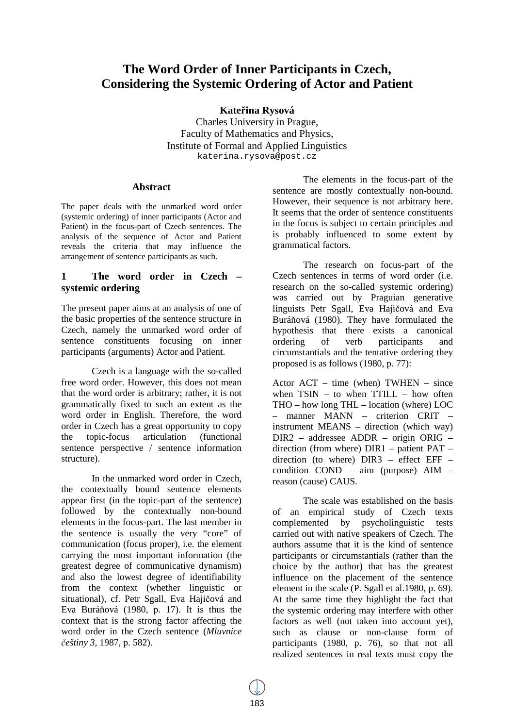# **The Word Order of Inner Participants in Czech, Considering the Systemic Ordering of Actor and Patient**

**Kateřina Rysová** 

Charles University in Prague, Faculty of Mathematics and Physics, Institute of Formal and Applied Linguistics katerina.rysova@post.cz

# **Abstract**

The paper deals with the unmarked word order (systemic ordering) of inner participants (Actor and Patient) in the focus-part of Czech sentences. The analysis of the sequence of Actor and Patient reveals the criteria that may influence the arrangement of sentence participants as such.

# **1 The word order in Czech – systemic ordering**

The present paper aims at an analysis of one of the basic properties of the sentence structure in Czech, namely the unmarked word order of sentence constituents focusing on inner participants (arguments) Actor and Patient.

Czech is a language with the so-called free word order. However, this does not mean that the word order is arbitrary; rather, it is not grammatically fixed to such an extent as the word order in English. Therefore, the word order in Czech has a great opportunity to copy the topic-focus articulation (functional sentence perspective / sentence information structure).

In the unmarked word order in Czech, the contextually bound sentence elements appear first (in the topic-part of the sentence) followed by the contextually non-bound elements in the focus-part. The last member in the sentence is usually the very "core" of communication (focus proper), i.e. the element carrying the most important information (the greatest degree of communicative dynamism) and also the lowest degree of identifiability from the context (whether linguistic or situational), cf. Petr Sgall, Eva Hajičová and Eva Buráňová (1980, p. 17). It is thus the context that is the strong factor affecting the word order in the Czech sentence (*Mluvnice češtiny 3*, 1987, p. 582).

The elements in the focus-part of the sentence are mostly contextually non-bound. However, their sequence is not arbitrary here. It seems that the order of sentence constituents in the focus is subject to certain principles and is probably influenced to some extent by grammatical factors.

The research on focus-part of the Czech sentences in terms of word order (i.e. research on the so-called systemic ordering) was carried out by Praguian generative linguists Petr Sgall, Eva Hajičová and Eva Buráňová (1980). They have formulated the hypothesis that there exists a canonical ordering of verb participants and circumstantials and the tentative ordering they proposed is as follows (1980, p. 77):

Actor ACT – time (when) TWHEN – since when  $TSIN - to$  when  $TTILL - how$  often THO – how long THL – location (where) LOC – manner MANN – criterion CRIT – instrument MEANS – direction (which way) DIR2 – addressee ADDR – origin ORIG – direction (from where) DIR1 – patient PAT – direction (to where) DIR3 – effect EFF – condition COND – aim (purpose) AIM – reason (cause) CAUS.

The scale was established on the basis of an empirical study of Czech texts complemented by psycholinguistic tests carried out with native speakers of Czech. The authors assume that it is the kind of sentence participants or circumstantials (rather than the choice by the author) that has the greatest influence on the placement of the sentence element in the scale (P. Sgall et al.1980, p. 69). At the same time they highlight the fact that the systemic ordering may interfere with other factors as well (not taken into account yet), such as clause or non-clause form of participants (1980, p. 76), so that not all realized sentences in real texts must copy the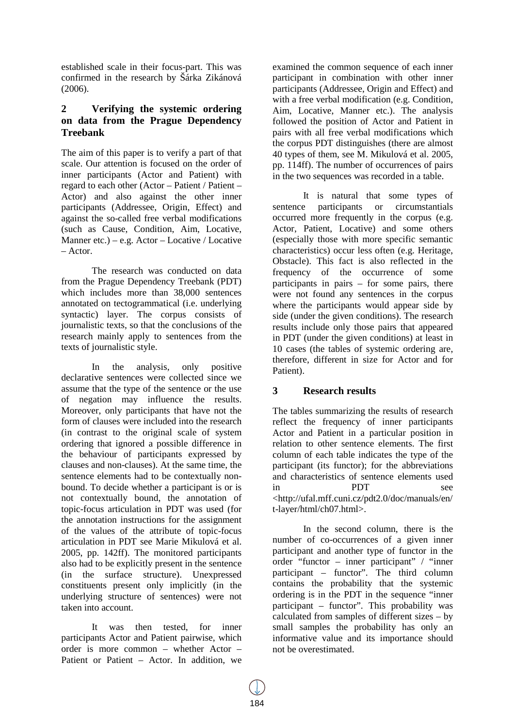established scale in their focus-part. This was confirmed in the research by Šárka Zikánová (2006).

# **2 Verifying the systemic ordering on data from the Prague Dependency Treebank**

The aim of this paper is to verify a part of that scale. Our attention is focused on the order of inner participants (Actor and Patient) with regard to each other (Actor – Patient / Patient – Actor) and also against the other inner participants (Addressee, Origin, Effect) and against the so-called free verbal modifications (such as Cause, Condition, Aim, Locative, Manner etc.) – e.g.  $Actor - Locative / Locative$ – Actor.

The research was conducted on data from the Prague Dependency Treebank (PDT) which includes more than 38,000 sentences annotated on tectogrammatical (i.e. underlying syntactic) layer. The corpus consists of journalistic texts, so that the conclusions of the research mainly apply to sentences from the texts of journalistic style.

In the analysis, only positive declarative sentences were collected since we assume that the type of the sentence or the use of negation may influence the results. Moreover, only participants that have not the form of clauses were included into the research (in contrast to the original scale of system ordering that ignored a possible difference in the behaviour of participants expressed by clauses and non-clauses). At the same time, the sentence elements had to be contextually nonbound. To decide whether a participant is or is not contextually bound, the annotation of topic-focus articulation in PDT was used (for the annotation instructions for the assignment of the values of the attribute of topic-focus articulation in PDT see Marie Mikulová et al. 2005, pp. 142ff). The monitored participants also had to be explicitly present in the sentence (in the surface structure). Unexpressed constituents present only implicitly (in the underlying structure of sentences) were not taken into account.

It was then tested, for inner participants Actor and Patient pairwise, which order is more common – whether Actor – Patient or Patient – Actor. In addition, we

examined the common sequence of each inner participant in combination with other inner participants (Addressee, Origin and Effect) and with a free verbal modification (e.g. Condition, Aim, Locative, Manner etc.). The analysis followed the position of Actor and Patient in pairs with all free verbal modifications which the corpus PDT distinguishes (there are almost 40 types of them, see M. Mikulová et al. 2005, pp. 114ff). The number of occurrences of pairs in the two sequences was recorded in a table.

It is natural that some types of sentence participants or circumstantials occurred more frequently in the corpus (e.g. Actor, Patient, Locative) and some others (especially those with more specific semantic characteristics) occur less often (e.g. Heritage, Obstacle). This fact is also reflected in the frequency of the occurrence of some participants in pairs – for some pairs, there were not found any sentences in the corpus where the participants would appear side by side (under the given conditions). The research results include only those pairs that appeared in PDT (under the given conditions) at least in 10 cases (the tables of systemic ordering are, therefore, different in size for Actor and for Patient).

# **3 Research results**

The tables summarizing the results of research reflect the frequency of inner participants Actor and Patient in a particular position in relation to other sentence elements. The first column of each table indicates the type of the participant (its functor); for the abbreviations and characteristics of sentence elements used in PDT see <http://ufal.mff.cuni.cz/pdt2.0/doc/manuals/en/ t-layer/html/ch07.html>.

In the second column, there is the number of co-occurrences of a given inner participant and another type of functor in the order "functor – inner participant" / "inner participant – functor". The third column contains the probability that the systemic ordering is in the PDT in the sequence "inner participant – functor". This probability was calculated from samples of different sizes – by small samples the probability has only an informative value and its importance should not be overestimated.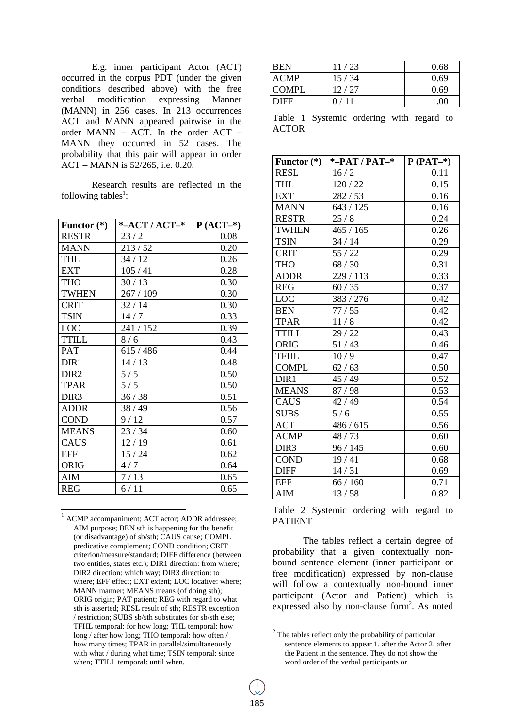E.g. inner participant Actor (ACT) occurred in the corpus PDT (under the given conditions described above) with the free verbal modification expressing Manner (MANN) in 256 cases. In 213 occurrences ACT and MANN appeared pairwise in the order MANN – ACT. In the order ACT – MANN they occurred in 52 cases. The probability that this pair will appear in order ACT – MANN is 52/265, i.e. 0.20.

Research results are reflected in the following tables<sup>1</sup>:

| Functor $(*)$    | *-ACT / $ACT-$ * | $P (ACT-*)$ |
|------------------|------------------|-------------|
| <b>RESTR</b>     | 23/2             | 0.08        |
| <b>MANN</b>      | 213/52           | 0.20        |
| <b>THL</b>       | 34/12            | 0.26        |
| <b>EXT</b>       | 105/41           | 0.28        |
| <b>THO</b>       | 30/13            | 0.30        |
| <b>TWHEN</b>     | 267 / 109        | 0.30        |
| <b>CRIT</b>      | 32/14            | 0.30        |
| <b>TSIN</b>      | 14/7             | 0.33        |
| <b>LOC</b>       | 241 / 152        | 0.39        |
| <b>TTILL</b>     | 8/6              | 0.43        |
| <b>PAT</b>       | 615 / 486        | 0.44        |
| DIR1             | 14/13            | 0.48        |
| DIR <sub>2</sub> | 5/5              | 0.50        |
| <b>TPAR</b>      | 5/5              | 0.50        |
| DIR <sub>3</sub> | 36/38            | 0.51        |
| <b>ADDR</b>      | 38/49            | 0.56        |
| <b>COND</b>      | 9/12             | 0.57        |
| <b>MEANS</b>     | 23/34            | 0.60        |
| <b>CAUS</b>      | 12/19            | 0.61        |
| <b>EFF</b>       | 15/24            | 0.62        |
| <b>ORIG</b>      | 4/7              | 0.64        |
| AIM              | 7/13             | 0.65        |
| <b>REG</b>       | 6/11             | 0.65        |

<sup>1</sup> ACMP accompaniment; ACT actor; ADDR addressee; AIM purpose; BEN sth is happening for the benefit (or disadvantage) of sb/sth; CAUS cause; COMPL predicative complement; COND condition; CRIT criterion/measure/standard; DIFF difference (between two entities, states etc.); DIR1 direction: from where; DIR2 direction: which way; DIR3 direction: to where; EFF effect; EXT extent; LOC locative: where; MANN manner; MEANS means (of doing sth); ORIG origin; PAT patient; REG with regard to what sth is asserted; RESL result of sth; RESTR exception / restriction; SUBS sb/sth substitutes for sb/sth else; TFHL temporal: for how long; THL temporal: how long / after how long; THO temporal: how often / how many times; TPAR in parallel/simultaneously with what / during what time; TSIN temporal: since when; TTILL temporal: until when.

 $\overline{a}$ 

| <b>BEN</b>   | 11/23 | 0.68 |
|--------------|-------|------|
| ACMP         | 15/34 | 0.69 |
| <b>COMPL</b> | 12/27 | 0.69 |
| <b>DIFF</b>  | 0/11  | 1.00 |

Table 1 Systemic ordering with regard to ACTOR

| Functor $(*)$    | *-PAT / PAT- $*$ | $P(PAT-*)$ |
|------------------|------------------|------------|
| <b>RESL</b>      | 16/2             | 0.11       |
| <b>THL</b>       | 120/22           | 0.15       |
| <b>EXT</b>       | 282/53           | 0.16       |
| <b>MANN</b>      | 643 / 125        | 0.16       |
| <b>RESTR</b>     | 25/8             | 0.24       |
| <b>TWHEN</b>     | 465/165          | 0.26       |
| <b>TSIN</b>      | 34/14            | 0.29       |
| <b>CRIT</b>      | 55/22            | 0.29       |
| <b>THO</b>       | 68/30            | 0.31       |
| <b>ADDR</b>      | 229 / 113        | 0.33       |
| <b>REG</b>       | 60/35            | 0.37       |
| <b>LOC</b>       | 383 / 276        | 0.42       |
| <b>BEN</b>       | 77/55            | 0.42       |
| <b>TPAR</b>      | 11/8             | 0.42       |
| <b>TTILL</b>     | 29/22            | 0.43       |
| <b>ORIG</b>      | 51/43            | 0.46       |
| <b>TFHL</b>      | 10/9             | 0.47       |
| <b>COMPL</b>     | 62/63            | 0.50       |
| DIR1             | 45 / 49          | 0.52       |
| <b>MEANS</b>     | 87/98            | 0.53       |
| <b>CAUS</b>      | 42 / 49          | 0.54       |
| <b>SUBS</b>      | 5/6              | 0.55       |
| <b>ACT</b>       | 486 / 615        | 0.56       |
| <b>ACMP</b>      | 48/73            | 0.60       |
| DIR <sub>3</sub> | 96 / 145         | 0.60       |
| <b>COND</b>      | 19/41            | 0.68       |
| <b>DIFF</b>      | 14/31            | 0.69       |
| <b>EFF</b>       | 66/160           | 0.71       |
| <b>AIM</b>       | 13/58            | 0.82       |

Table 2 Systemic ordering with regard to PATIENT

The tables reflect a certain degree of probability that a given contextually nonbound sentence element (inner participant or free modification) expressed by non-clause will follow a contextually non-bound inner participant (Actor and Patient) which is expressed also by non-clause form<sup>2</sup>. As noted

<sup>&</sup>lt;sup>2</sup> The tables reflect only the probability of particular sentence elements to appear 1. after the Actor 2. after the Patient in the sentence. They do not show the word order of the verbal participants or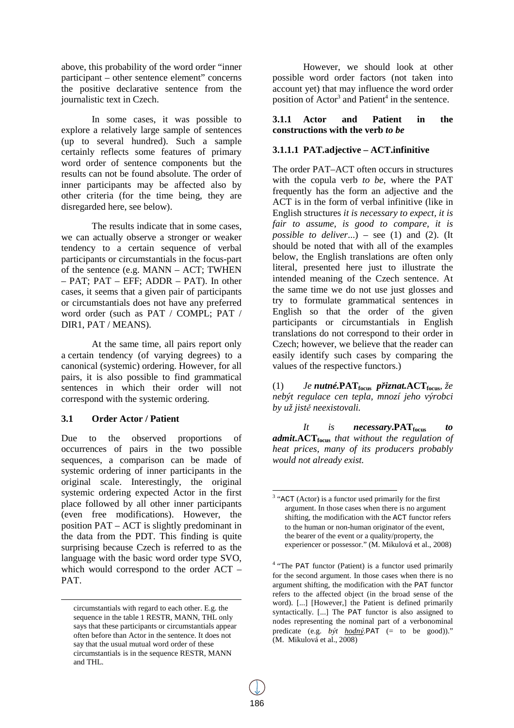above, this probability of the word order "inner participant – other sentence element" concerns the positive declarative sentence from the journalistic text in Czech.

In some cases, it was possible to explore a relatively large sample of sentences (up to several hundred). Such a sample certainly reflects some features of primary word order of sentence components but the results can not be found absolute. The order of inner participants may be affected also by other criteria (for the time being, they are disregarded here, see below).

The results indicate that in some cases, we can actually observe a stronger or weaker tendency to a certain sequence of verbal participants or circumstantials in the focus-part of the sentence (e.g. MANN – ACT; TWHEN – PAT; PAT – EFF; ADDR – PAT). In other cases, it seems that a given pair of participants or circumstantials does not have any preferred word order (such as PAT / COMPL; PAT / DIR1, PAT / MEANS).

At the same time, all pairs report only a certain tendency (of varying degrees) to a canonical (systemic) ordering. However, for all pairs, it is also possible to find grammatical sentences in which their order will not correspond with the systemic ordering.

## **3.1 Order Actor / Patient**

 $\overline{a}$ 

Due to the observed proportions of occurrences of pairs in the two possible sequences, a comparison can be made of systemic ordering of inner participants in the original scale. Interestingly, the original systemic ordering expected Actor in the first place followed by all other inner participants (even free modifications). However, the position PAT – ACT is slightly predominant in the data from the PDT. This finding is quite surprising because Czech is referred to as the language with the basic word order type SVO, which would correspond to the order ACT – PAT.

However, we should look at other possible word order factors (not taken into account yet) that may influence the word order position of  $Action<sup>3</sup>$  and  $Pattern<sup>4</sup>$  in the sentence.

## **3.1.1 Actor and Patient in the constructions with the verb** *to be*

# **3.1.1.1 PAT.adjective – ACT.infinitive**

The order PAT–ACT often occurs in structures with the copula verb *to be*, where the PAT frequently has the form an adjective and the ACT is in the form of verbal infinitive (like in English structures *it is necessary to expect, it is fair to assume, is good to compare, it is possible to deliver*...) – see (1) and (2). (It should be noted that with all of the examples below, the English translations are often only literal, presented here just to illustrate the intended meaning of the Czech sentence. At the same time we do not use just glosses and try to formulate grammatical sentences in English so that the order of the given participants or circumstantials in English translations do not correspond to their order in Czech; however, we believe that the reader can easily identify such cases by comparing the values of the respective functors.)

(1) *Je nutné.***PATfocus** *přiznat.***ACTfocus***, že nebýt regulace cen tepla, mnozí jeho výrobci by už jistě neexistovali.*

*It is necessary***.PATfocus** *to admit***.ACTfocus** *that without the regulation of heat prices, many of its producers probably would not already exist.* 

circumstantials with regard to each other. E.g. the sequence in the table 1 RESTR, MANN, THL only says that these participants or circumstantials appear often before than Actor in the sentence. It does not say that the usual mutual word order of these circumstantials is in the sequence RESTR, MANN and THL.

<sup>-</sup> $3$  "ACT (Actor) is a functor used primarily for the first argument. In those cases when there is no argument shifting, the modification with the ACT functor refers to the human or non-human originator of the event, the bearer of the event or a quality/property, the experiencer or possessor." (M. Mikulová et al., 2008)

<sup>&</sup>lt;sup>4</sup> "The PAT functor (Patient) is a functor used primarily for the second argument. In those cases when there is no argument shifting, the modification with the PAT functor refers to the affected object (in the broad sense of the word). [...] [However,] the Patient is defined primarily syntactically. [...] The PAT functor is also assigned to nodes representing the nominal part of a verbonominal predicate (e.g. *být hodný*.PAT (= to be good))." (M. Mikulová et al., 2008)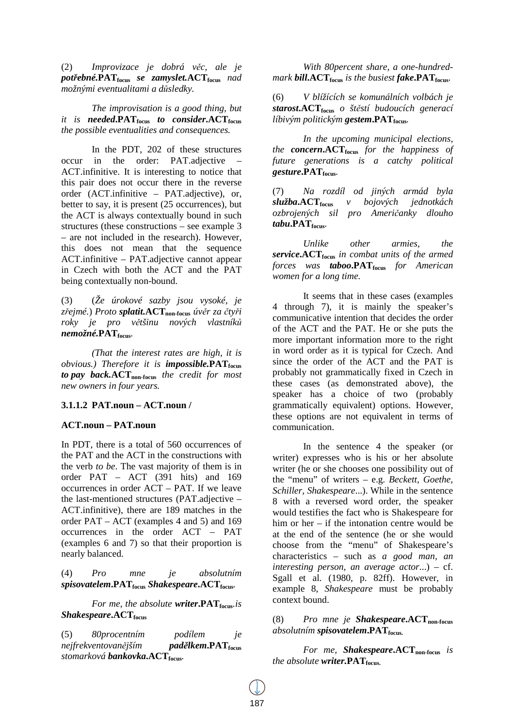(2) *Improvizace je dobrá věc, ale je potřebné.***PATfocus** *se zamyslet.***ACTfocus** *nad možnými eventualitami a důsledky.* 

*The improvisation is a good thing, but it is needed***.PATfocus** *to consider***.ACTfocus** *the possible eventualities and consequences.* 

In the PDT, 202 of these structures occur in the order: PAT.adjective – ACT.infinitive. It is interesting to notice that this pair does not occur there in the reverse order (ACT.infinitive – PAT.adjective), or, better to say, it is present (25 occurrences), but the ACT is always contextually bound in such structures (these constructions – see example 3 – are not included in the research). However, this does not mean that the sequence ACT.infinitive – PAT.adjective cannot appear in Czech with both the ACT and the PAT being contextually non-bound.

(3) (*Že úrokové sazby jsou vysoké, je zřejmé.*) *Proto splatit.***ACTnon-focus** *úvěr za čtyři roky je pro většinu nových vlastníků nemožné.***PATfocus***.*

*(That the interest rates are high, it is obvious.)* Therefore it is *impossible.***PAT**<sub>focus</sub> *to pay back.***ACTnon-focus** *the credit for most new owners in four years.* 

#### **3.1.1.2 PAT.noun – ACT.noun /**

#### **ACT.noun – PAT.noun**

In PDT, there is a total of 560 occurrences of the PAT and the ACT in the constructions with the verb *to be*. The vast majority of them is in order PAT – ACT (391 hits) and 169 occurrences in order ACT – PAT. If we leave the last-mentioned structures (PAT.adjective – ACT.infinitive), there are 189 matches in the order PAT – ACT (examples 4 and 5) and 169 occurrences in the order ACT – PAT (examples 6 and 7) so that their proportion is nearly balanced.

(4) *Pro mne je absolutním spisovatelem***.PATfocus** *Shakespeare***.ACTfocus***.*

*For me, the absolute writer***.PATfocus***.is Shakespeare***.ACTfocus**

(5) *80procentním podílem je nejfrekventovanějším padělkem***.PATfocus** *stomarková bankovka***.ACTfocus***.*

*With 80percent share, a one-hundredmark bill***.ACTfocus** *is the busiest fake***.PATfocus***.* 

(6) *V blížících se komunálních volbách je starost***.ACTfocus** *o štěstí budoucích generací líbivým politickým gestem***.PATfocus***.*

*In the upcoming municipal elections, the concern***.ACTfocus** *for the happiness of future generations is a catchy political gesture***.PATfocus***.* 

(7) *Na rozdíl od jiných armád byla služba***.ACTfocus** *v bojových jednotkách ozbrojených sil pro Američanky dlouho tabu***.PATfocus***.*

*Unlike other armies, the service***.ACTfocus** *in combat units of the armed forces was taboo***.PATfocus** *for American women for a long time.* 

It seems that in these cases (examples 4 through 7), it is mainly the speaker's communicative intention that decides the order of the ACT and the PAT. He or she puts the more important information more to the right in word order as it is typical for Czech. And since the order of the ACT and the PAT is probably not grammatically fixed in Czech in these cases (as demonstrated above), the speaker has a choice of two (probably grammatically equivalent) options. However, these options are not equivalent in terms of communication.

In the sentence 4 the speaker (or writer) expresses who is his or her absolute writer (he or she chooses one possibility out of the "menu" of writers – e.g. *Beckett, Goethe, Schiller, Shakespeare*...). While in the sentence 8 with a reversed word order, the speaker would testifies the fact who is Shakespeare for him or her – if the intonation centre would be at the end of the sentence (he or she would choose from the "menu" of Shakespeare's characteristics – such as *a good man, an interesting person, an average actor*...) – cf. Sgall et al. (1980, p. 82ff). However, in example 8, *Shakespeare* must be probably context bound.

(8) *Pro mne je Shakespeare***.ACTnon-focus** *absolutním spisovatelem***.PATfocus.** 

*For me, Shakespeare***.ACTnon-focus** *is the absolute writer.***PATfocus.**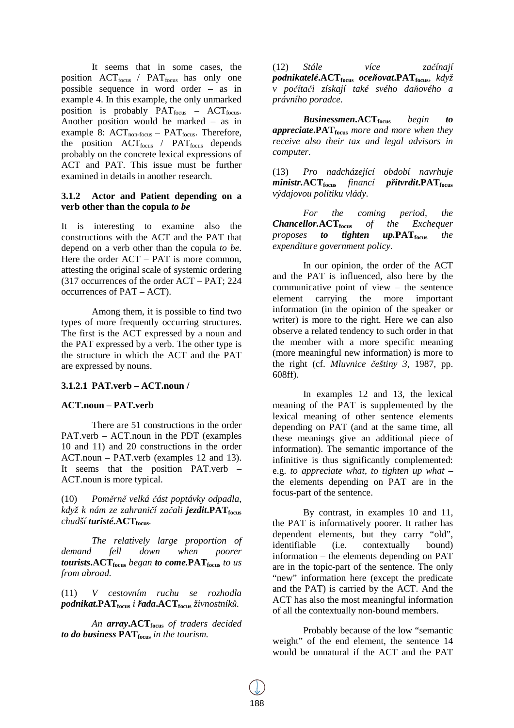It seems that in some cases, the position  $ACT_{focus}$  /  $PATH_{focus}$  has only one possible sequence in word order – as in example 4. In this example, the only unmarked position is probably  $PAT_{focus}$  – ACT<sub>focus</sub>. Another position would be marked – as in example 8:  $ACT_{non-focus} - PAT_{focus}$ . Therefore, the position  $ACT_{focus}$  /  $PATH_{focus}$  depends probably on the concrete lexical expressions of ACT and PAT. This issue must be further examined in details in another research.

#### **3.1.2 Actor and Patient depending on a verb other than the copula** *to be*

It is interesting to examine also the constructions with the ACT and the PAT that depend on a verb other than the copula *to be*. Here the order  $ACT - PAT$  is more common, attesting the original scale of systemic ordering (317 occurrences of the order ACT – PAT; 224 occurrences of PAT – ACT).

Among them, it is possible to find two types of more frequently occurring structures. The first is the ACT expressed by a noun and the PAT expressed by a verb. The other type is the structure in which the ACT and the PAT are expressed by nouns.

## **3.1.2.1 PAT.verb – ACT.noun /**

#### **ACT.noun – PAT.verb**

There are 51 constructions in the order PAT.verb – ACT.noun in the PDT (examples 10 and 11) and 20 constructions in the order ACT.noun – PAT.verb (examples 12 and 13). It seems that the position PAT.verb – ACT.noun is more typical.

(10) *Poměrně velká část poptávky odpadla, když k nám ze zahraničí začali jezdit***.PATfocus** *chudší turisté***.ACTfocus***.*

*The relatively large proportion of demand fell down when poorer tourists***.ACTfocus** *began to come.***PATfocus** *to us from abroad.* 

(11) *V cestovním ruchu se rozhodla podnikat***.PATfocus** *i řada***.ACTfocus** *živnostníků.* 

*An array***.ACTfocus** *of traders decided to do business* **PATfocus** *in the tourism.* 

(12) *Stále více začínají podnikatelé***.ACTfocus** *oceňovat***.PATfocus***, když v počítači získají také svého daňového a právního poradce.* 

*Businessmen***.ACTfocus** *begin to appreciate***.PATfocus** *more and more when they receive also their tax and legal advisors in computer.* 

(13) *Pro nadcházející období navrhuje ministr.***ACTfocus** *financí přitvrdit***.PATfocus** *výdajovou politiku vlády.* 

*For the coming period, the Chancellor.***ACTfocus** *of the Exchequer proposes to tighten up.***PATfocus** *the expenditure government policy.* 

In our opinion, the order of the ACT and the PAT is influenced, also here by the communicative point of view – the sentence element carrying the more important information (in the opinion of the speaker or writer) is more to the right. Here we can also observe a related tendency to such order in that the member with a more specific meaning (more meaningful new information) is more to the right (cf. *Mluvnice češtiny 3*, 1987, pp. 608ff).

In examples 12 and 13, the lexical meaning of the PAT is supplemented by the lexical meaning of other sentence elements depending on PAT (and at the same time, all these meanings give an additional piece of information). The semantic importance of the infinitive is thus significantly complemented: e.g. *to appreciate what*, *to tighten up what* – the elements depending on PAT are in the focus-part of the sentence.

By contrast, in examples 10 and 11, the PAT is informatively poorer. It rather has dependent elements, but they carry "old", identifiable (i.e. contextually bound) information – the elements depending on PAT are in the topic-part of the sentence. The only "new" information here (except the predicate and the PAT) is carried by the ACT. And the ACT has also the most meaningful information of all the contextually non-bound members.

Probably because of the low "semantic weight" of the end element, the sentence 14 would be unnatural if the ACT and the PAT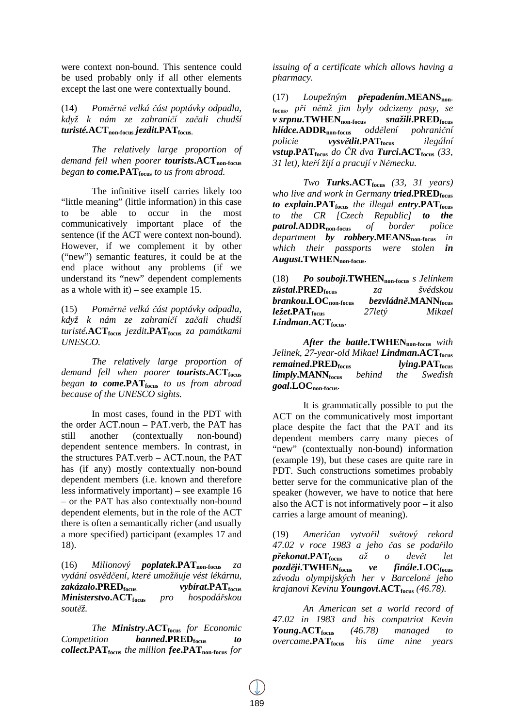were context non-bound. This sentence could be used probably only if all other elements except the last one were contextually bound.

(14) *Poměrně velká část poptávky odpadla, když k nám ze zahraničí začali chudší turisté.***ACTnon-focus** *jezdit***.PATfocus.**

*The relatively large proportion of demand fell when poorer tourists***.ACTnon-focus** *began to come.***PATfocus** *to us from abroad.* 

The infinitive itself carries likely too "little meaning" (little information) in this case to be able to occur in the most communicatively important place of the sentence (if the ACT were context non-bound). However, if we complement it by other ("new") semantic features, it could be at the end place without any problems (if we understand its "new" dependent complements as a whole with it) – see example 15.

(15) *Poměrně velká část poptávky odpadla, když k nám ze zahraničí začali chudší turisté.***ACTfocus** *jezdit***.PATfocus** *za památkami UNESCO.* 

*The relatively large proportion of demand fell when poorer tourists***.ACTfocus** *began to come.***PATfocus** *to us from abroad because of the UNESCO sights.* 

In most cases, found in the PDT with the order ACT.noun – PAT.verb, the PAT has still another (contextually non-bound) dependent sentence members. In contrast, in the structures PAT.verb – ACT.noun, the PAT has (if any) mostly contextually non-bound dependent members (i.e. known and therefore less informatively important) – see example 16 – or the PAT has also contextually non-bound dependent elements, but in the role of the ACT there is often a semantically richer (and usually a more specified) participant (examples 17 and 18).

(16) *Milionový poplatek***.PATnon-focus** *za vydání osvědčení, které umožňuje vést lékárnu, zakázalo***.PREDfocus** *vybírat***.PATfocus** *Ministerstvo***.ACTfocus** *pro hospodářskou soutěž.*

*The Ministry***.ACTfocus** *for Economic Competition banned***.PREDfocus** *to collect***.PATfocus** *the million fee***.PATnon-focus** *for* 

*issuing of a certificate which allows having a pharmacy.* 

(17) *Loupežným přepadením***.MEANSnonfocus***, při němž jim byly odcizeny pasy, se v srpnu***.TWHENnon-focus** *snažili***.PREDfocus** *hlídce.***ADDRnon-focus** *oddělení pohraniční policie vysvětlit***.PATfocus** *ilegální vstup***.PAT**<sub>focus</sub> do  $\check{C}R$  dva *Turci***.ACT**<sub>focus</sub> (33, *31 let), kteří žijí a pracují v Německu.*

*Two Turks***.ACTfocus** *(33, 31 years) who live and work in Germany tried***.PREDfocus** *to explain***.PATfocus** *the illegal entry***.PATfocus** *to the CR [Czech Republic] to the patrol.***ADDRnon-focus** *of border police department by robbery***.MEANSnon-focus** *in which their passports were stolen in August***.TWHENnon-focus***.* 

(18) *Po souboji***.TWHENnon-focus** *s Jelínkem zůstal***.PREDfocus** *za švédskou*   $branchou$ **.LOC**<sub>non-focus</sub> *ležet***.PATfocus** *27letý Mikael Lindman***.ACTfocus***.*

*After the battle***.TWHENnon-focus** *with Jelinek, 27-year-old Mikael Lindman***.ACTfocus** *remained***.PREDfocus** *lying***.PATfocus** *limply***.MANN**<sub>focus</sub> *behind the goal***.LOCnon-focus***.* 

It is grammatically possible to put the ACT on the communicatively most important place despite the fact that the PAT and its dependent members carry many pieces of "new" (contextually non-bound) information (example 19), but these cases are quite rare in PDT. Such constructions sometimes probably better serve for the communicative plan of the speaker (however, we have to notice that here also the ACT is not informatively poor – it also carries a large amount of meaning).

(19) *Američan vytvořil světový rekord 47.02 v roce 1983 a jeho čas se podařilo překonat***.PATfocus** *až o devět let později***.TWHENfocus** *ve finále***.LOCfocus** *závodu olympijských her v Barceloně jeho krajanovi Kevinu Youngovi***.ACTfocus** *(46.78).* 

 *An American set a world record of 47.02 in 1983 and his compatriot Kevin Young***.ACTfocus** *(46.78) managed to overcame***.PATfocus** *his time nine years*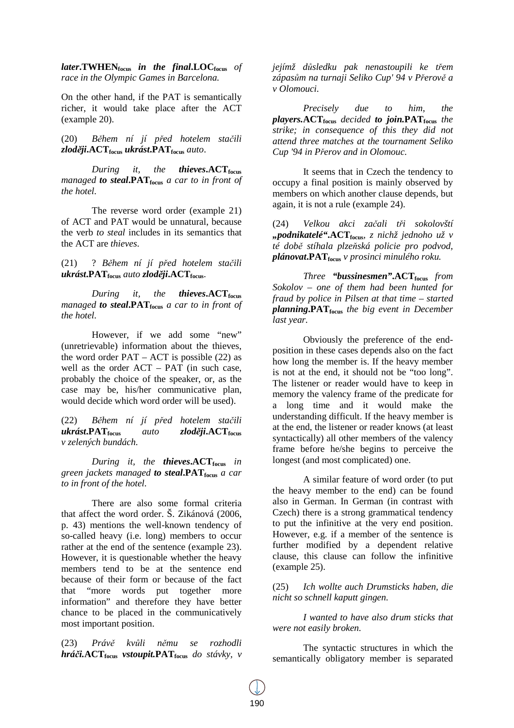*later***.TWHENfocus** *in the final***.LOCfocus** *of race in the Olympic Games in Barcelona.* 

On the other hand, if the PAT is semantically richer, it would take place after the ACT (example 20).

(20) *Během ní jí před hotelem stačili zloději***.ACTfocus** *ukrást***.PATfocus** *auto*.

*During it, the thieves***.ACTfocus** *managed to steal***.PATfocus** *a car to in front of the hotel.* 

The reverse word order (example 21) of ACT and PAT would be unnatural, because the verb *to steal* includes in its semantics that the ACT are *thieves*.

(21) ? *Během ní jí před hotelem stačili ukrást***.PATfocus** *auto zloději***.ACTfocus**.

*During it, the thieves***.ACTfocus** *managed to steal***.PATfocus** *a car to in front of the hotel.* 

However, if we add some "new" (unretrievable) information about the thieves, the word order  $PAT - ACT$  is possible (22) as well as the order  $ACT - PAT$  (in such case, probably the choice of the speaker, or, as the case may be, his/her communicative plan, would decide which word order will be used).

(22) *Během ní jí před hotelem stačili ukrást***.PATfocus** *auto zloději***.ACTfocus** *v zelených bundách.* 

*During it, the thieves***.ACTfocus** *in green jackets managed to steal***.PATfocus** *a car to in front of the hotel.* 

There are also some formal criteria that affect the word order. Š. Zikánová (2006, p. 43) mentions the well-known tendency of so-called heavy (i.e. long) members to occur rather at the end of the sentence (example 23). However, it is questionable whether the heavy members tend to be at the sentence end because of their form or because of the fact that "more words put together more information" and therefore they have better chance to be placed in the communicatively most important position.

(23) *Právě kvůli němu se rozhodli hráči.***ACTfocus** *vstoupit.***PATfocus** *do stávky, v*  *jejímž důsledku pak nenastoupili ke třem zápasům na turnaji Seliko Cup' 94 v Přerově a v Olomouci.*

*Precisely due to him, the players.***ACTfocus** *decided to join.***PATfocus** *the strike; in consequence of this they did not attend three matches at the tournament Seliko Cup '94 in Přerov and in Olomouc.* 

It seems that in Czech the tendency to occupy a final position is mainly observed by members on which another clause depends, but again, it is not a rule (example 24).

(24) *Velkou akci začali tři sokolovští "podnikatelé"***.ACTfocus***, z nichž jednoho už v té době stíhala plzeňská policie pro podvod, plánovat***.PATfocus** *v prosinci minulého roku.* 

 *Three "bussinesmen"***.ACTfocus** *from Sokolov – one of them had been hunted for fraud by police in Pilsen at that time – started planning***.PATfocus** *the big event in December last year.*

Obviously the preference of the endposition in these cases depends also on the fact how long the member is. If the heavy member is not at the end, it should not be "too long". The listener or reader would have to keep in memory the valency frame of the predicate for a long time and it would make the understanding difficult. If the heavy member is at the end, the listener or reader knows (at least syntactically) all other members of the valency frame before he/she begins to perceive the longest (and most complicated) one.

A similar feature of word order (to put the heavy member to the end) can be found also in German. In German (in contrast with Czech) there is a strong grammatical tendency to put the infinitive at the very end position. However, e.g. if a member of the sentence is further modified by a dependent relative clause, this clause can follow the infinitive (example 25).

(25) *Ich wollte auch Drumsticks haben, die nicht so schnell kaputt gingen.*

*I wanted to have also drum sticks that were not easily broken.* 

 The syntactic structures in which the semantically obligatory member is separated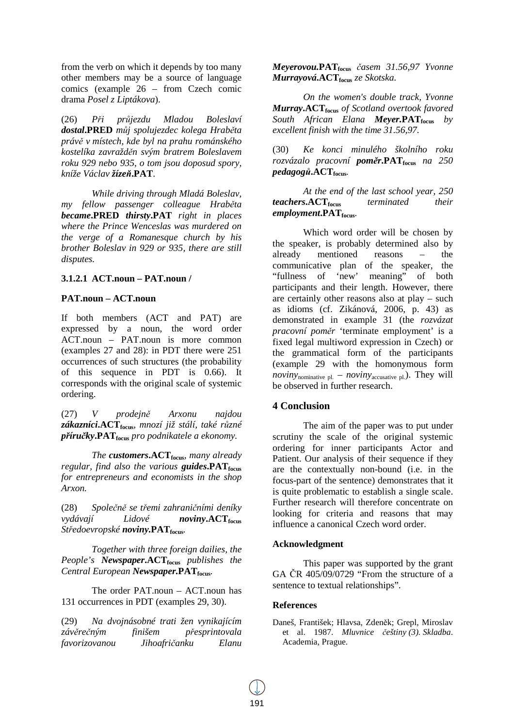from the verb on which it depends by too many other members may be a source of language comics (example 26 – from Czech comic drama *Posel z Liptákova*).

(26) *Při průjezdu Mladou Boleslaví dostal***.PRED** *můj spolujezdec kolega Hraběta právě v místech, kde byl na prahu románského kostelíka zavražděn svým bratrem Boleslavem roku 929 nebo 935, o tom jsou doposud spory, kníže Václav žízeň***.PAT**.

*While driving through Mladá Boleslav, my fellow passenger colleague Hraběta became***.PRED** *thirsty***.PAT** *right in places where the Prince Wenceslas was murdered on the verge of a Romanesque church by his brother Boleslav in 929 or 935, there are still disputes.* 

## **3.1.2.1 ACT.noun – PAT.noun /**

## **PAT.noun – ACT.noun**

If both members (ACT and PAT) are expressed by a noun, the word order ACT.noun – PAT.noun is more common (examples 27 and 28): in PDT there were 251 occurrences of such structures (the probability of this sequence in PDT is 0.66). It corresponds with the original scale of systemic ordering.

(27) *V prodejně Arxonu najdou zákazníci***.ACTfocus***, mnozí již stálí, také různé příručky***.PATfocus** *pro podnikatele a ekonomy.* 

*The customers***.ACTfocus***, many already regular, find also the various guides***.PATfocus** *for entrepreneurs and economists in the shop Arxon.*

(28) *Společně se třemi zahraničními deníky vydávají Lidové noviny***.ACTfocus** *Středoevropské noviny.***PATfocus***.*

*Together with three foreign dailies, the People's Newspaper***.ACTfocus** *publishes the Central European Newspaper.***PATfocus***.* 

The order PAT.noun – ACT.noun has 131 occurrences in PDT (examples 29, 30).

(29) *Na dvojnásobné trati žen vynikajícím závěrečným finišem přesprintovala favorizovanou Jihoafričanku Elanu* 

*Meyerovou.***PATfocus** *časem 31.56,97 Yvonne Murrayová***.ACTfocus** *ze Skotska.* 

 *On the women's double track, Yvonne Murray***.ACTfocus** *of Scotland overtook favored South African Elana Meyer.***PATfocus** *by excellent finish with the time 31.56,97.* 

(30) *Ke konci minulého školního roku rozvázalo pracovní poměr***.PATfocus** *na 250 pedagogů***.ACTfocus***.*

*At the end of the last school year, 250 teachers***.ACTfocus** *terminated their employment***.PATfocus***.* 

Which word order will be chosen by the speaker, is probably determined also by already mentioned reasons – the communicative plan of the speaker, the "fullness of 'new' meaning" of both participants and their length. However, there are certainly other reasons also at play – such as idioms (cf. Zikánová, 2006, p. 43) as demonstrated in example 31 (the *rozvázat pracovní poměr* 'terminate employment' is a fixed legal multiword expression in Czech) or the grammatical form of the participants (example 29 with the homonymous form *noviny*<sub>nominative pl. – *noviny*<sub>accusative pl.). They will</sub></sub> be observed in further research.

# **4 Conclusion**

The aim of the paper was to put under scrutiny the scale of the original systemic ordering for inner participants Actor and Patient. Our analysis of their sequence if they are the contextually non-bound (i.e. in the focus-part of the sentence) demonstrates that it is quite problematic to establish a single scale. Further research will therefore concentrate on looking for criteria and reasons that may influence a canonical Czech word order.

## **Acknowledgment**

This paper was supported by the grant GA ČR 405/09/0729 "From the structure of a sentence to textual relationships".

## **References**

Daneš, František; Hlavsa, Zdeněk; Grepl, Miroslav et al. 1987. *Mluvnice češtiny (3). Skladba*. Academia, Prague.